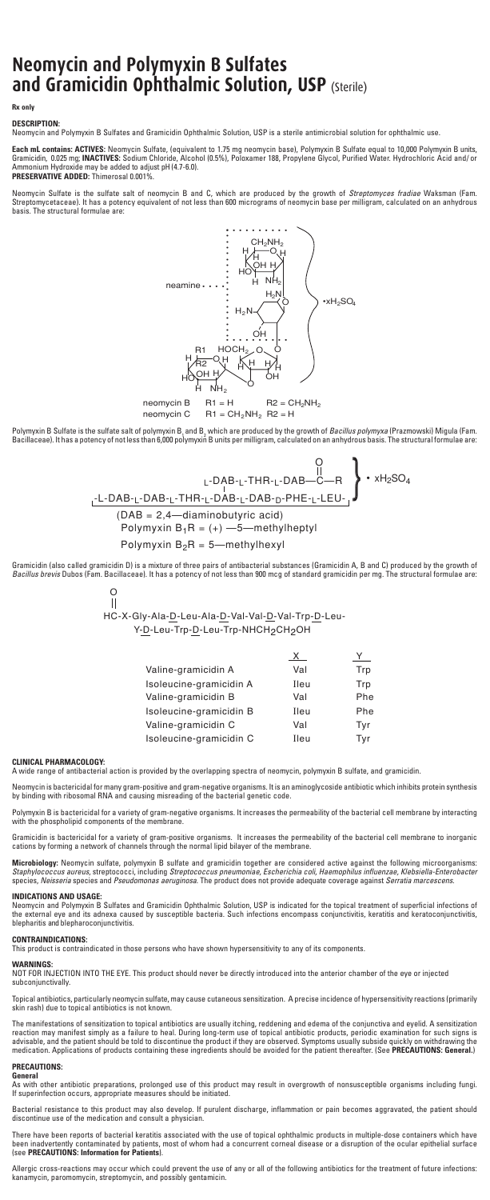# **Neomycin and Polymyxin B Sulfates and Gramicidin Ophthalmic Solution, USP** (Sterile)

# **Rx only**

**DESCRIPTION:**

Neomycin and Polymyxin B Sulfates and Gramicidin Ophthalmic Solution, USP is a sterile antimicrobial solution for ophthalmic use.

**Each mL contains: ACTIVES:** Neomycin Sulfate, (equivalent to 1.75 mg neomycin base), Polymyxin B Sulfate equal to 10,000 Polymyxin B units,<br>Gramicidin, 0.025 mg; **INACTIVES:** Sodium Chloride, Alcohol (0.5%), Poloxamer 188

Neomycin Sulfate is the sulfate salt of neomycin B and C, which are produced by the growth of *Streptomyces fradiae* Waksman (Fam. Streptomycetaceae). It has a potency equivalent of not less than 600 micrograms of neomycin base per milligram, calculated on an anhydrous basis. The structural formulae are:



Polymyxin B Sulfate is the sulfate salt of polymyxin B<sub>,</sub> and B, which are produced by the growth of *Bacillus polymyxa* (Prazmowski) Migula (Fam.<br>Bacillaceae). It has a potency of not less than 6,000 polymyxin B units per

$$
\begin{array}{c}\n\begin{array}{c}\nC \\
L-DAB-L-THR-L-DBB-C-R \\
\hline\n\end{array}\\ \n\begin{array}{c}\n\begin{array}{c}\n\begin{array}{c}\n\begin{array}{c}\n\begin{array}{c}\n\begin{array}{c}\n\begin{array}{c}\n\begin{array}{c}\n\end{array} \\
\end{array} \\
\end{array} \\
\end{array} \\
\end{array} \\
\end{array} \\
\end{array} \\
\begin{array}{c}\n\begin{array}{c}\n\begin{array}{c}\n\begin{array}{c}\n\begin{array}{c}\n\end{array} \\
\end{array} \\
\end{array} \\
\end{array} \\
\end{array} \\
\begin{array}{c}\n\begin{array}{c}\n\begin{array}{c}\n\end{array} \\
\end{array} \\
\end{array} \\
\end{array} \\
\begin{array}{c}\n\begin{array}{c}\n\begin{array}{c}\n\end{array} \\
\end{array} \\
\end{array} \\
\end{array} \\
\end{array} \\
\begin{array}{c}\n\begin{array}{c}\n\begin{array}{c}\n\end{array} \\
\end{array} \\
\end{array} \\
\begin{array}{c}\n\begin{array}{c}\n\end{array} \\
\end{array} \\
\end{array} \\
\end{array} \\
\begin{array}{c}\n\begin{array}{c}\n\begin{array}{c}\n\end{array} \\
\end{array} \\
\end{array} \\
\end{array} \\
\begin{array}{c}\n\begin{array}{c}\n\begin{array}{c}\n\end{array} \\
\end{array} \\
\end{array} \\
\end{array} \\
\begin{array}{c}\n\begin{array}{c}\n\begin{array}{c}\n\end{array} \\
\end{array} \\
\end{array} \\
\end{array} \\
\begin{array}{c}\n\begin{array}{c}\n\begin{array}{c}\n\end{array} \\
\end{array} \\
\end{array} \\
\end{array} \\
\begin{array}{c}\n\begin{array}{c}\n\begin{array}{c}\n\end{array} \\
\end{array} \\
\end{array} \\
\end{array} \\
\begin{array}{c}\n\begin{array}{c}\n\begin{array}{c}\n\end{array} \\
\end{array} \\
\end{array} \\
\end{array} \\
\begin{array}{c}\n\begin{array}{c}\n\begin{array}{c}\n\begin{array}{c}\n\end{array} \\
\end{array} \\
\end{array} \\
\end{array} \\
\begin{array}{c}\n\begin{array}{
$$

Gramicidin (also called gramicidin D) is a mixture of three pairs of antibacterial substances (Gramicidin A, B and C) produced by the growth of<br>Bacillus brevis Dubos (Fam. Bacillaceae). It has a potency of not less than 90 <sup>F</sup>am. Bacillaceae). It has a potency of not less than 900 mcg of standard gramicidin per mg. The structural forn

O<br>||

HC-X-Gly-Ala-D-Leu-Ala-D-Val-Val-D-Val-Trp-D-Leu- Y-D-Leu-Trp-D-Leu-Trp-NHCH2CH2OH

|                         | x    |     |
|-------------------------|------|-----|
| Valine-gramicidin A     | Val  | Trp |
| Isoleucine-gramicidin A | Ileu | Trp |
| Valine-gramicidin B     | Val  | Phe |
| Isoleucine-gramicidin B | Ileu | Phe |
| Valine-gramicidin C     | Val  | Tyr |
| Isoleucine-gramicidin C | Ileu | Tvr |
|                         |      |     |

### **CLINICAL PHARMACOLOGY:**

on a wide range of antibacterial action is provided by the overlapping spectra of neomycin, polymyxin B sulfate, and gramicidin.<br>In ange of antibacterial action is provided by the overlapping spectra of neomycin, polymyxin

Neomycin is bactericidal for many gram-positive and gram-negative organisms. It is an aminoglycoside antibiotic which inhibits protein synthesis<br>by binding with ribosomal RNA and causing misreading of the bacterial genetic

Polymyxin B is bactericidal for a variety of gram-negative organisms. It increases the permeability of the bacterial cell membrane by interacting with the phospholipid components of the membrane.

Gramicidin is bactericidal for a variety of gram-positive organisms. It increases the permeability of the bacterial cell membrane to inorganic<br>cations by forming a network of channels through the normal lipid bilayer of th

**Microbiology:** Neomycin sulfate, polymyxin B sulfate and gramicidin together are considered active against the following microorganisms:<br>*Staphylococcus aureus,* streptococci, including *Streptococcus pneumoniae, Escheric* 

**INDICATIONS AND USAGE:**<br>Neomycin and Polymyxin B Sulfates and Gramicidin Ophthalmic Solution, USP is indicated for the topical treatment of superficial infections of<br>the external eye and its adnexa caused by susceptible b

## **CONTRAINDICATIONS:**

This product is contraindicated in those persons who have shown hypersensitivity to any of its components.

# **WARNINGS:**

NOT FOR INJECTION INTO THE EYE. This product should never be directly introduced into the anterior chamber of the eye or injected nctivally.

Topical antibiotics, particularly neomycin sulfate, may cause cutaneous sensitization. A precise incidence of hypersensitivity reactions (primarily skin rash) due to topical antibiotics is not known.

The manifestations of sensitization to topical antibiotics are usually itching, reddening and edema of the conjunctiva and eyelid. A sensitization<br>reaction may manifest simply as a failure to heal. During long-term use of

### **PRECAUTIONS: Gener**

As with other antibiotic preparations, prolonged use of this product may result in overgrowth of nonsusceptible organisms including fungi.<br>If superinfection occurs, appropriate measures should be initiated.

Bacterial resistance to this product may also develop. If purulent discharge, inflammation or pain becomes aggravated, the patient should discontinue use of the medication and consult a physician.

There have been reports of bacterial keratitis associated with the use of topical ophthalmic products in multiple-dose containers which have<br>been inadvertently contaminated by patients, most of whom had a concurrent cornea

Allergic cross-reactions may occur which could prevent the use of any or all of the following antibiotics for the treatment of future infections: kanamycin, paromomycin, streptomycin, and possibly gentamicin.